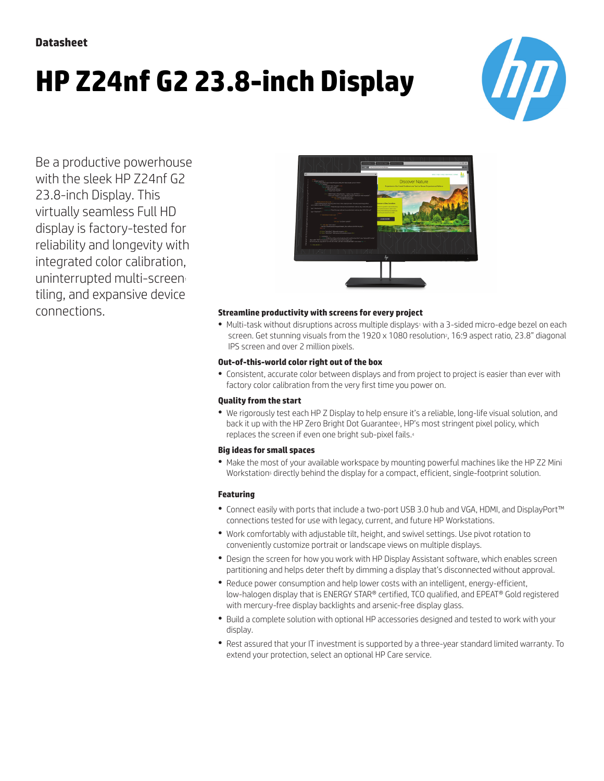# **HP Z24nf G2 23.8-inch Display**



Be a productive powerhouse with the sleek HP Z24nf G2 23.8-inch Display. This virtually seamless Full HD display is factory-tested for reliability and longevity with integrated color calibration, uninterrupted multi-screen tiling, and expansive device



## connections. **Streamline productivity with screens for every project**

• Multi-task without disruptions across multiple displays<sup>1</sup> with a 3-sided micro-edge bezel on each screen. Get stunning visuals from the 1920 x 1080 resolution?, 16:9 aspect ratio, 23.8" diagonal IPS screen and over 2 million pixels.

#### **Out-of-this-world color right out of the box**

● Consistent, accurate color between displays and from project to project is easier than ever with factory color calibration from the very first time you power on.

#### **Quality from the start**

● We rigorously test each HP Z Display to help ensure it's a reliable, long-life visual solution, and back it up with the HP Zero Bright Dot Guarantee3, HP's most stringent pixel policy, which replaces the screen if even one bright sub-pixel fails.<sup>4</sup>

#### **Big ideas for small spaces**

● Make the most of your available workspace by mounting powerful machines like the HP Z2 Mini Workstation<sup>s</sup> directly behind the display for a compact, efficient, single-footprint solution.

### **Featuring**

- Connect easily with ports that include a two-port USB 3.0 hub and VGA, HDMI, and DisplayPort™ connections tested for use with legacy, current, and future HP Workstations.
- Work comfortably with adjustable tilt, height, and swivel settings. Use pivot rotation to conveniently customize portrait or landscape views on multiple displays.
- Design the screen for how you work with HP Display Assistant software, which enables screen partitioning and helps deter theft by dimming a display that's disconnected without approval.
- Reduce power consumption and help lower costs with an intelligent, energy-efficient, low-halogen display that is ENERGY STAR® certified, TCO qualified, and EPEAT® Gold registered with mercury-free display backlights and arsenic-free display glass.
- Build a complete solution with optional HP accessories designed and tested to work with your display.
- Rest assured that your IT investment is supported by a three-year standard limited warranty. To extend your protection, select an optional HP Care service.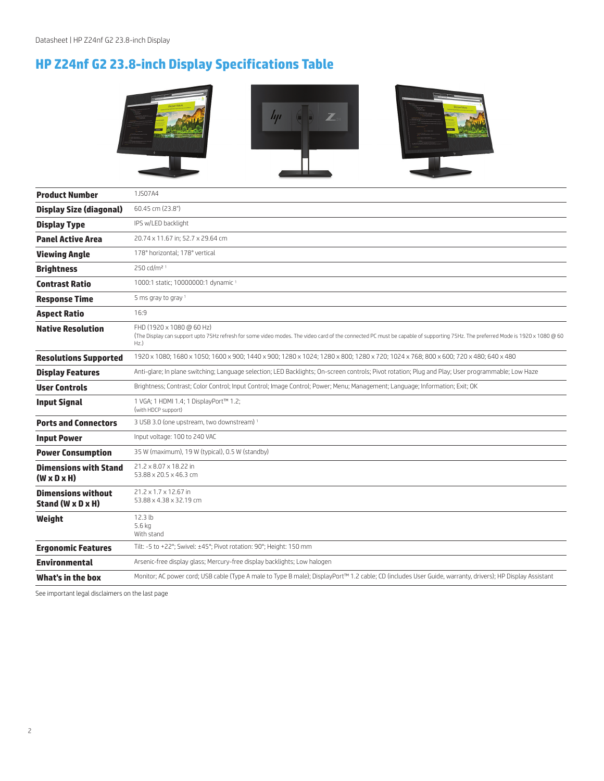# **HP Z24nf G2 23.8-inch Display Specifications Table**



| <b>Product Number</b>                                   | 1JS07A4                                                                                                                                                                                                            |
|---------------------------------------------------------|--------------------------------------------------------------------------------------------------------------------------------------------------------------------------------------------------------------------|
| <b>Display Size (diagonal)</b>                          | 60.45 cm (23.8")                                                                                                                                                                                                   |
| <b>Display Type</b>                                     | IPS w/LED backlight                                                                                                                                                                                                |
| <b>Panel Active Area</b>                                | 20.74 x 11.67 in: 52.7 x 29.64 cm                                                                                                                                                                                  |
| <b>Viewing Angle</b>                                    | 178° horizontal; 178° vertical                                                                                                                                                                                     |
| <b>Brightness</b>                                       | 250 cd/m <sup>2 1</sup>                                                                                                                                                                                            |
| <b>Contrast Ratio</b>                                   | 1000:1 static; 10000000:1 dynamic 1                                                                                                                                                                                |
| <b>Response Time</b>                                    | 5 ms gray to gray $1$                                                                                                                                                                                              |
| <b>Aspect Ratio</b>                                     | 16:9                                                                                                                                                                                                               |
| <b>Native Resolution</b>                                | FHD (1920 x 1080 @ 60 Hz)<br>(The Display can support upto 75Hz refresh for some video modes. The video card of the connected PC must be capable of supporting 75Hz. The preferred Mode is 1920 x 1080 @ 60<br>Hz. |
| <b>Resolutions Supported</b>                            | 1920 x 1080; 1680 x 1050; 1600 x 900; 1440 x 900; 1280 x 1024; 1280 x 800; 1280 x 720; 1024 x 768; 800 x 600; 720 x 480; 640 x 480                                                                                 |
| <b>Display Features</b>                                 | Anti-glare; In plane switching; Language selection; LED Backlights; On-screen controls; Pivot rotation; Plug and Play; User programmable; Low Haze                                                                 |
| <b>User Controls</b>                                    | Brightness; Contrast; Color Control; Input Control; Image Control; Power; Menu; Management; Language; Information; Exit; OK                                                                                        |
| <b>Input Signal</b>                                     | 1 VGA; 1 HDMI 1.4; 1 DisplayPort™ 1.2;<br>(with HDCP support)                                                                                                                                                      |
| <b>Ports and Connectors</b>                             | 3 USB 3.0 (one upstream, two downstream) <sup>1</sup>                                                                                                                                                              |
| <b>Input Power</b>                                      | Input voltage: 100 to 240 VAC                                                                                                                                                                                      |
| <b>Power Consumption</b>                                | 35 W (maximum), 19 W (typical), 0.5 W (standby)                                                                                                                                                                    |
| <b>Dimensions with Stand</b><br>$(W \times D \times H)$ | 21.2 × 8.07 × 18.22 in<br>53.88 x 20.5 x 46.3 cm                                                                                                                                                                   |
| <b>Dimensions without</b><br>Stand (W x D x H)          | 21.2 x 1.7 x 12.67 in<br>53.88 x 4.38 x 32.19 cm                                                                                                                                                                   |
| Weight                                                  | 12.3 <sub>lb</sub><br>$5.6$ kg<br>With stand                                                                                                                                                                       |
| <b>Ergonomic Features</b>                               | Tilt: -5 to +22°; Swivel: ±45°; Pivot rotation: 90°; Height: 150 mm                                                                                                                                                |
| <b>Environmental</b>                                    | Arsenic-free display glass; Mercury-free display backlights; Low halogen                                                                                                                                           |
| What's in the box                                       | Monitor; AC power cord; USB cable (Type A male to Type B male); DisplayPort™ 1.2 cable; CD (includes User Guide, warranty, drivers); HP Display Assistant                                                          |

See important legal disclaimers on the last page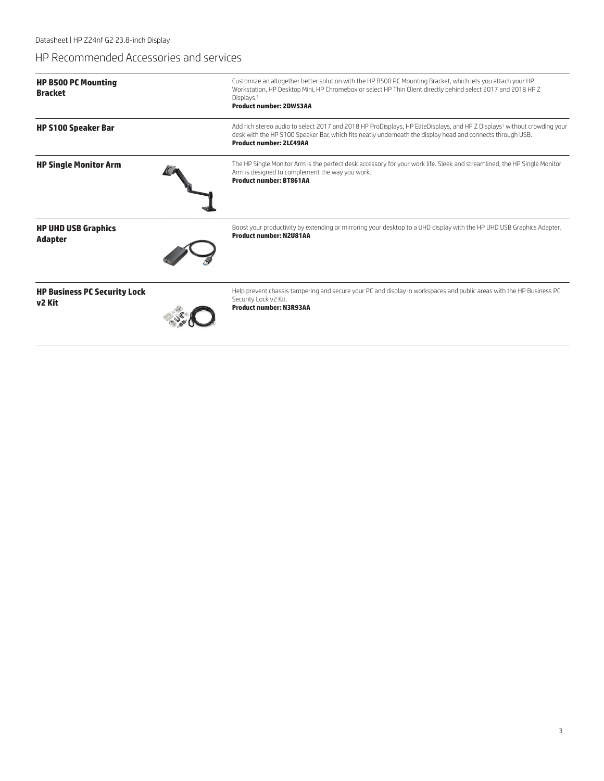## HP Recommended Accessories and services

| <b>HP B500 PC Mounting</b><br><b>Bracket</b>              | Customize an altogether better solution with the HP B500 PC Mounting Bracket, which lets you attach your HP<br>Workstation, HP Desktop Mini, HP Chromebox or select HP Thin Client directly behind select 2017 and 2018 HP Z<br>Displays. <sup>1</sup><br><b>Product number: 2DW53AA</b> |
|-----------------------------------------------------------|------------------------------------------------------------------------------------------------------------------------------------------------------------------------------------------------------------------------------------------------------------------------------------------|
| <b>HP S100 Speaker Bar</b>                                | Add rich stereo audio to select 2017 and 2018 HP ProDisplays, HP EliteDisplays, and HP Z Displays <sup>1</sup> without crowding your<br>desk with the HP S100 Speaker Bar, which fits neatly underneath the display head and connects through USB.<br><b>Product number: 2LC49AA</b>     |
| <b>HP Single Monitor Arm</b>                              | The HP Single Monitor Arm is the perfect desk accessory for your work life. Sleek and streamlined, the HP Single Monitor<br>Arm is designed to complement the way you work.<br><b>Product number: BT861AA</b>                                                                            |
| <b>HP UHD USB Graphics</b><br><b>Adapter</b>              | Boost your productivity by extending or mirroring your desktop to a UHD display with the HP UHD USB Graphics Adapter.<br><b>Product number: N2U81AA</b>                                                                                                                                  |
| <b>HP Business PC Security Lock</b><br>v <sub>2</sub> Kit | Help prevent chassis tampering and secure your PC and display in workspaces and public areas with the HP Business PC<br>Security Lock v2 Kit.<br><b>Product number: N3R93AA</b>                                                                                                          |